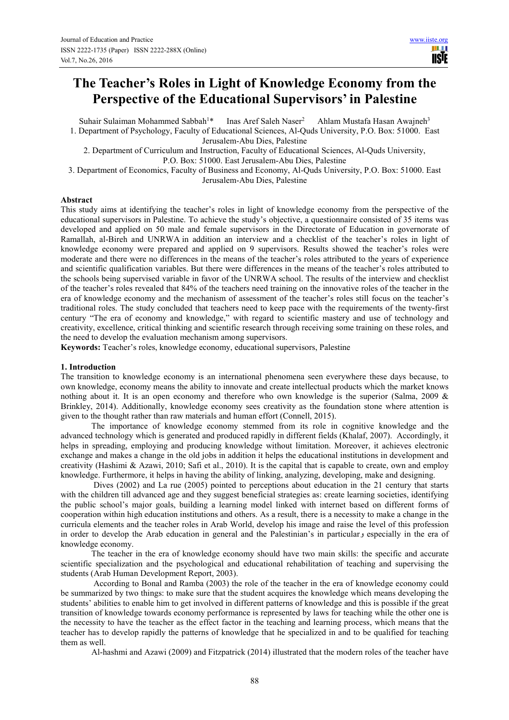# **The Teacher's Roles in Light of Knowledge Economy from the Perspective of the Educational Supervisors' in Palestine**

Suhair Sulaiman Mohammed Sabbah<sup>1\*</sup> Inas Aref Saleh Naser<sup>2</sup> Ahlam Mustafa Hasan Awajneh<sup>3</sup> 1. Department of Psychology, Faculty of Educational Sciences, Al-Quds University, P.O. Box: 51000. East

Jerusalem-Abu Dies, Palestine

2. Department of Curriculum and Instruction, Faculty of Educational Sciences, Al-Quds University, P.O. Box: 51000. East Jerusalem-Abu Dies, Palestine

3. Department of Economics, Faculty of Business and Economy, Al-Quds University, P.O. Box: 51000. East Jerusalem-Abu Dies, Palestine

# **Abstract**

This study aims at identifying the teacher's roles in light of knowledge economy from the perspective of the educational supervisors in Palestine. To achieve the study's objective, a questionnaire consisted of 35 items was developed and applied on 50 male and female supervisors in the Directorate of Education in governorate of Ramallah, al-Bireh and UNRWA in addition an interview and a checklist of the teacher's roles in light of knowledge economy were prepared and applied on 9 supervisors. Results showed the teacher's roles were moderate and there were no differences in the means of the teacher's roles attributed to the years of experience and scientific qualification variables. But there were differences in the means of the teacher's roles attributed to the schools being supervised variable in favor of the UNRWA school. The results of the interview and checklist of the teacher's roles revealed that 84% of the teachers need training on the innovative roles of the teacher in the era of knowledge economy and the mechanism of assessment of the teacher's roles still focus on the teacher's traditional roles. The study concluded that teachers need to keep pace with the requirements of the twenty-first century "The era of economy and knowledge," with regard to scientific mastery and use of technology and creativity, excellence, critical thinking and scientific research through receiving some training on these roles, and the need to develop the evaluation mechanism among supervisors.

**Keywords:** Teacher's roles, knowledge economy, educational supervisors, Palestine

# **1. Introduction**

The transition to knowledge economy is an international phenomena seen everywhere these days because, to own knowledge, economy means the ability to innovate and create intellectual products which the market knows nothing about it. It is an open economy and therefore who own knowledge is the superior (Salma, 2009 & Brinkley, 2014). Additionally, knowledge economy sees creativity as the foundation stone where attention is given to the thought rather than raw materials and human effort (Connell, 2015).

The importance of knowledge economy stemmed from its role in cognitive knowledge and the advanced technology which is generated and produced rapidly in different fields (Khalaf, 2007). Accordingly, it helps in spreading, employing and producing knowledge without limitation. Moreover, it achieves electronic exchange and makes a change in the old jobs in addition it helps the educational institutions in development and creativity (Hashimi & Azawi, 2010; Safi et al., 2010). It is the capital that is capable to create, own and employ knowledge. Furthermore, it helps in having the ability of linking, analyzing, developing, make and designing.

 Dives (2002) and La rue (2005) pointed to perceptions about education in the 21 century that starts with the children till advanced age and they suggest beneficial strategies as: create learning societies, identifying the public school's major goals, building a learning model linked with internet based on different forms of cooperation within high education institutions and others. As a result, there is a necessity to make a change in the curricula elements and the teacher roles in Arab World, develop his image and raise the level of this profession in order to develop the Arab education in general and the Palestinian's in particular generally in the era of knowledge economy.

The teacher in the era of knowledge economy should have two main skills: the specific and accurate scientific specialization and the psychological and educational rehabilitation of teaching and supervising the students (Arab Human Development Report, 2003).

 According to Bonal and Ramba (2003) the role of the teacher in the era of knowledge economy could be summarized by two things: to make sure that the student acquires the knowledge which means developing the students' abilities to enable him to get involved in different patterns of knowledge and this is possible if the great transition of knowledge towards economy performance is represented by laws for teaching while the other one is the necessity to have the teacher as the effect factor in the teaching and learning process, which means that the teacher has to develop rapidly the patterns of knowledge that he specialized in and to be qualified for teaching them as well.

Al-hashmi and Azawi (2009) and Fitzpatrick (2014) illustrated that the modern roles of the teacher have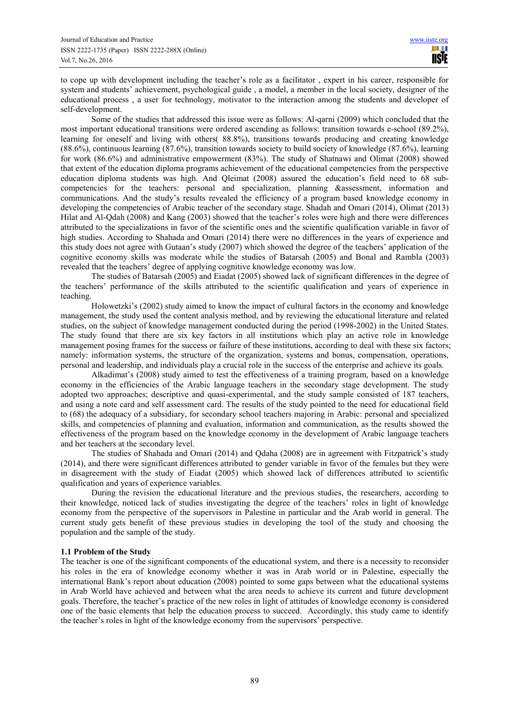to cope up with development including the teacher's role as a facilitator , expert in his career, responsible for system and students' achievement, psychological guide , a model, a member in the local society, designer of the educational process , a user for technology, motivator to the interaction among the students and developer of self-development.

Some of the studies that addressed this issue were as follows: Al-qarni (2009) which concluded that the most important educational transitions were ordered ascending as follows: transition towards e-school (89.2%), learning for oneself and living with others( 88.8%), transitions towards producing and creating knowledge (88.6%), continuous learning (87.6%), transition towards society to build society of knowledge (87.6%), learning for work (86.6%) and administrative empowerment (83%). The study of Shatnawi and Olimat (2008) showed that extent of the education diploma programs achievement of the educational competencies from the perspective education diploma students was high. And Qleimat (2008) assured the education's field need to 68 subcompetencies for the teachers: personal and specialization, planning &assessment, information and communications. And the study's results revealed the efficiency of a program based knowledge economy in developing the competencies of Arabic teacher of the secondary stage. Shadah and Omari (2014), Olimat (2013) Hilat and Al-Qdah (2008) and Kang (2003) showed that the teacher's roles were high and there were differences attributed to the specializations in favor of the scientific ones and the scientific qualification variable in favor of high studies. According to Shahada and Omari (2014) there were no differences in the years of experience and this study does not agree with Gutaan's study (2007) which showed the degree of the teachers' application of the cognitive economy skills was moderate while the studies of Batarsah (2005) and Bonal and Rambla (2003) revealed that the teachers' degree of applying cognitive knowledge economy was low.

The studies of Batarsah (2005) and Eiadat (2005) showed lack of significant differences in the degree of the teachers' performance of the skills attributed to the scientific qualification and years of experience in teaching.

Holowetzki's (2002) study aimed to know the impact of cultural factors in the economy and knowledge management, the study used the content analysis method, and by reviewing the educational literature and related studies, on the subject of knowledge management conducted during the period (1998-2002) in the United States. The study found that there are six key factors in all institutions which play an active role in knowledge management posing frames for the success or failure of these institutions, according to deal with these six factors; namely: information systems, the structure of the organization, systems and bonus, compensation, operations, personal and leadership, and individuals play a crucial role in the success of the enterprise and achieve its goals.

Alkadimat's (2008) study aimed to test the effectiveness of a training program, based on a knowledge economy in the efficiencies of the Arabic language teachers in the secondary stage development. The study adopted two approaches; descriptive and quasi-experimental, and the study sample consisted of 187 teachers, and using a note card and self assessment card. The results of the study pointed to the need for educational field to (68) the adequacy of a subsidiary, for secondary school teachers majoring in Arabic: personal and specialized skills, and competencies of planning and evaluation, information and communication, as the results showed the effectiveness of the program based on the knowledge economy in the development of Arabic language teachers and her teachers at the secondary level.

The studies of Shahada and Omari (2014) and Qdaha (2008) are in agreement with Fitzpatrick's study (2014), and there were significant differences attributed to gender variable in favor of the females but they were in disagreement with the study of Eiadat (2005) which showed lack of differences attributed to scientific qualification and years of experience variables.

During the revision the educational literature and the previous studies, the researchers, according to their knowledge, noticed lack of studies investigating the degree of the teachers' roles in light of knowledge economy from the perspective of the supervisors in Palestine in particular and the Arab world in general. The current study gets benefit of these previous studies in developing the tool of the study and choosing the population and the sample of the study.

# **1.1 Problem of the Study**

The teacher is one of the significant components of the educational system, and there is a necessity to reconsider his roles in the era of knowledge economy whether it was in Arab world or in Palestine, especially the international Bank's report about education (2008) pointed to some gaps between what the educational systems in Arab World have achieved and between what the area needs to achieve its current and future development goals. Therefore, the teacher's practice of the new roles in light of attitudes of knowledge economy is considered one of the basic elements that help the education process to succeed. Accordingly, this study came to identify the teacher's roles in light of the knowledge economy from the supervisors' perspective.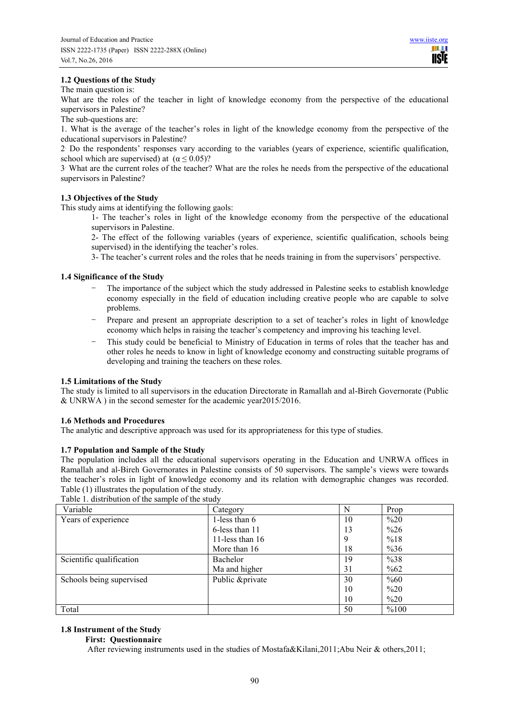# **1.2 Questions of the Study**

The main question is:

What are the roles of the teacher in light of knowledge economy from the perspective of the educational supervisors in Palestine?

The sub-questions are:

1. What is the average of the teacher's roles in light of the knowledge economy from the perspective of the educational supervisors in Palestine?

2 . Do the respondents' responses vary according to the variables (years of experience, scientific qualification, school which are supervised) at  $(\alpha \le 0.05)$ ?

3 . What are the current roles of the teacher? What are the roles he needs from the perspective of the educational supervisors in Palestine?

# **1.3 Objectives of the Study**

This study aims at identifying the following gaols:

1- The teacher's roles in light of the knowledge economy from the perspective of the educational supervisors in Palestine.

2- The effect of the following variables (years of experience, scientific qualification, schools being supervised) in the identifying the teacher's roles.

3- The teacher's current roles and the roles that he needs training in from the supervisors' perspective.

# **1.4 Significance of the Study**

- The importance of the subject which the study addressed in Palestine seeks to establish knowledge economy especially in the field of education including creative people who are capable to solve problems.
- Prepare and present an appropriate description to a set of teacher's roles in light of knowledge economy which helps in raising the teacher's competency and improving his teaching level.
- This study could be beneficial to Ministry of Education in terms of roles that the teacher has and other roles he needs to know in light of knowledge economy and constructing suitable programs of developing and training the teachers on these roles.

#### **1.5 Limitations of the Study**

The study is limited to all supervisors in the education Directorate in Ramallah and al-Bireh Governorate (Public & UNRWA ) in the second semester for the academic year2015/2016.

#### **1.6 Methods and Procedures**

The analytic and descriptive approach was used for its appropriateness for this type of studies.

## **1.7 Population and Sample of the Study**

The population includes all the educational supervisors operating in the Education and UNRWA offices in Ramallah and al-Bireh Governorates in Palestine consists of 50 supervisors. The sample's views were towards the teacher's roles in light of knowledge economy and its relation with demographic changes was recorded. Table (1) illustrates the population of the study.

| Variable                 | Category          | N  | Prop   |
|--------------------------|-------------------|----|--------|
| Years of experience      | 1-less than 6     | 10 | $\%20$ |
|                          | 6-less than 11    | 13 | $\%26$ |
|                          | 11-less than $16$ | 9  | %18    |
|                          | More than 16      | 18 | $\%36$ |
| Scientific qualification | Bachelor          | 19 | %38    |
|                          | Ma and higher     | 31 | %62    |
| Schools being supervised | Public &private   | 30 | %60    |
|                          |                   | 10 | $\%20$ |
|                          |                   | 10 | $\%20$ |
| Total                    |                   | 50 | %100   |

Table 1. distribution of the sample of the study

#### **1.8 Instrument of the Study**

# **First: Questionnaire**

After reviewing instruments used in the studies of Mostafa&Kilani,2011;Abu Neir & others,2011;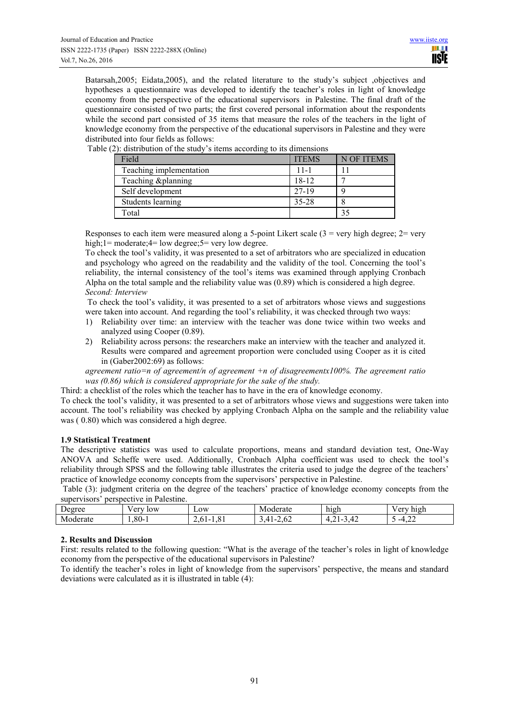Batarsah,2005; Eidata,2005), and the related literature to the study's subject ,objectives and hypotheses a questionnaire was developed to identify the teacher's roles in light of knowledge economy from the perspective of the educational supervisors in Palestine. The final draft of the questionnaire consisted of two parts; the first covered personal information about the respondents while the second part consisted of 35 items that measure the roles of the teachers in the light of knowledge economy from the perspective of the educational supervisors in Palestine and they were distributed into four fields as follows:

| Field                   | <b>ITEMS</b> | N OF ITEMS |
|-------------------------|--------------|------------|
| Teaching implementation | $11 - 1$     |            |
| Teaching & planning     | 18-12        |            |
| Self development        | 27-19        |            |
| Students learning       | 35-28        |            |
| $_{\rm \tau\sigma}$     |              |            |

Table (2): distribution of the study's items according to its dimensions

Responses to each item were measured along a 5-point Likert scale  $(3 = \text{very high degree}; 2 = \text{very high degree}; 2 = \text{very high degree}; 2 = \text{very high degree}; 2 = \text{very high degree}; 2 = \text{very high degree}; 2 = \text{very high degree}; 2 = \text{very high degree}; 2 = \text{very high degree}; 2 = \text{very high degree}; 2 = \text{very high degree}; 2 = \text{very high degree}; 2 = \text{very high degree}; 2 = \text{very high degree}; 2 = \text{very high degree}; 2 = \$ high;1= moderate;4= low degree;5= very low degree.

To check the tool's validity, it was presented to a set of arbitrators who are specialized in education and psychology who agreed on the readability and the validity of the tool. Concerning the tool's reliability, the internal consistency of the tool's items was examined through applying Cronbach Alpha on the total sample and the reliability value was (0.89) which is considered a high degree. *Second: Interview* 

 To check the tool's validity, it was presented to a set of arbitrators whose views and suggestions were taken into account. And regarding the tool's reliability, it was checked through two ways:

- 1) Reliability over time: an interview with the teacher was done twice within two weeks and analyzed using Cooper (0.89).
- 2) Reliability across persons: the researchers make an interview with the teacher and analyzed it. Results were compared and agreement proportion were concluded using Cooper as it is cited in (Gaber2002:69) as follows:

*agreement ratio=n of agreement/n of agreement +n of disagreementx100%. The agreement ratio was (0.86) which is considered appropriate for the sake of the study.*

Third: a checklist of the roles which the teacher has to have in the era of knowledge economy.

To check the tool's validity, it was presented to a set of arbitrators whose views and suggestions were taken into account. The tool's reliability was checked by applying Cronbach Alpha on the sample and the reliability value was ( 0.80) which was considered a high degree.

## **1.9 Statistical Treatment**

The descriptive statistics was used to calculate proportions, means and standard deviation test, One-Way ANOVA and Scheffe were used. Additionally, Cronbach Alpha coefficient was used to check the tool's reliability through SPSS and the following table illustrates the criteria used to judge the degree of the teachers' practice of knowledge economy concepts from the supervisors' perspective in Palestine.

 Table (3): judgment criteria on the degree of the teachers' practice of knowledge economy concepts from the supervisors' perspective in Palestine.

| ------------<br>------             | --------------------                 |                                                |                        |                   |                  |
|------------------------------------|--------------------------------------|------------------------------------------------|------------------------|-------------------|------------------|
| $\overline{\phantom{0}}$<br>Degree | $\sim$ $\sim$<br>$\mathbf{r}$<br>10W | $L$ <sub>O</sub> W                             | oderate<br>IVI.        | high              | err<br>high<br>◡ |
| $\sim$<br>erate<br>MC<br>ഫം        | $1,80-7$                             | $\sim$<br>n 1 –<br>$\sim$ $\sim$ $\sim$<br>.v. | $\sqrt{2}$<br>.v2<br>- | $\sim$<br>.<br>-- | $\sim$<br>-4     |

# **2. Results and Discussion**

First: results related to the following question: "What is the average of the teacher's roles in light of knowledge economy from the perspective of the educational supervisors in Palestine?

To identify the teacher's roles in light of knowledge from the supervisors' perspective, the means and standard deviations were calculated as it is illustrated in table (4):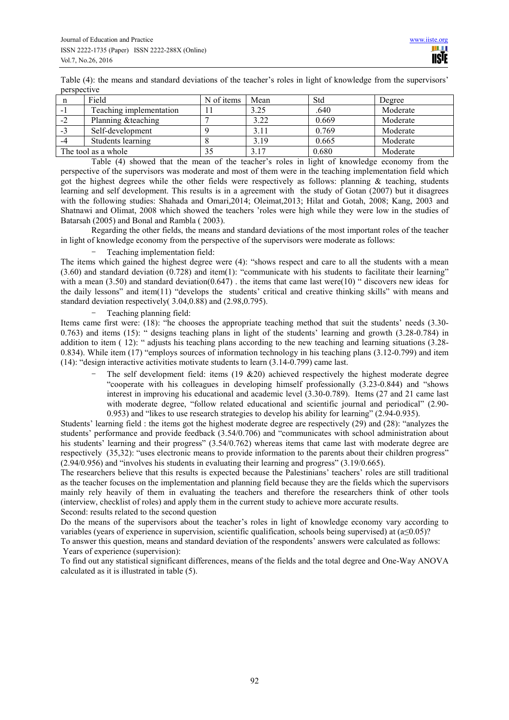Table (4): the means and standard deviations of the teacher's roles in light of knowledge from the supervisors' perspective

| n    | Field                   | N of items | Mean | Std   | Degree   |
|------|-------------------------|------------|------|-------|----------|
| - 1  | Teaching implementation |            | 3.25 | .640  | Moderate |
| $-2$ | Planning & teaching     |            | 3.22 | 0.669 | Moderate |
| $-3$ | Self-development        |            | 3.11 | 0.769 | Moderate |
| -4   | Students learning       |            | 3.19 | 0.665 | Moderate |
|      | The tool as a whole     | 35         | 3.17 | 0.680 | Moderate |

Table (4) showed that the mean of the teacher's roles in light of knowledge economy from the perspective of the supervisors was moderate and most of them were in the teaching implementation field which got the highest degrees while the other fields were respectively as follows: planning & teaching, students learning and self development. This results is in a agreement with the study of Gotan (2007) but it disagrees with the following studies: Shahada and Omari,2014; Oleimat,2013; Hilat and Gotah, 2008; Kang, 2003 and Shatnawi and Olimat, 2008 which showed the teachers 'roles were high while they were low in the studies of Batarsah (2005) and Bonal and Rambla ( 2003).

Regarding the other fields, the means and standard deviations of the most important roles of the teacher in light of knowledge economy from the perspective of the supervisors were moderate as follows:

Teaching implementation field:

The items which gained the highest degree were (4): "shows respect and care to all the students with a mean (3.60) and standard deviation (0.728) and item(1): "communicate with his students to facilitate their learning" with a mean (3.50) and standard deviation(0.647). the items that came last were(10) " discovers new ideas for the daily lessons" and item(11) "develops the students' critical and creative thinking skills" with means and standard deviation respectively( 3.04,0.88) and (2.98,0.795).

# Teaching planning field:

Items came first were: (18): "he chooses the appropriate teaching method that suit the students' needs (3.30- 0.763) and items (15): " designs teaching plans in light of the students' learning and growth (3.28-0.784) in addition to item (12): " adjusts his teaching plans according to the new teaching and learning situations (3.28-0.834). While item (17) "employs sources of information technology in his teaching plans (3.12-0.799) and item (14): "design interactive activities motivate students to learn (3.14-0.799) came last.

> The self development field: items  $(19 \& 20)$  achieved respectively the highest moderate degree "cooperate with his colleagues in developing himself professionally (3.23-0.844) and "shows interest in improving his educational and academic level (3.30-0.789). Items (27 and 21 came last with moderate degree, "follow related educational and scientific journal and periodical" (2.90- 0.953) and "likes to use research strategies to develop his ability for learning" (2.94-0.935).

Students' learning field : the items got the highest moderate degree are respectively (29) and (28): "analyzes the students' performance and provide feedback (3.54/0.706) and "communicates with school administration about his students' learning and their progress" (3.54/0.762) whereas items that came last with moderate degree are respectively (35,32): "uses electronic means to provide information to the parents about their children progress" (2.94/0.956) and "involves his students in evaluating their learning and progress" (3.19/0.665).

The researchers believe that this results is expected because the Palestinians' teachers' roles are still traditional as the teacher focuses on the implementation and planning field because they are the fields which the supervisors mainly rely heavily of them in evaluating the teachers and therefore the researchers think of other tools (interview, checklist of roles) and apply them in the current study to achieve more accurate results. Second: results related to the second question

Do the means of the supervisors about the teacher's roles in light of knowledge economy vary according to variables (years of experience in supervision, scientific qualification, schools being supervised) at (a≤0.05)?

To answer this question, means and standard deviation of the respondents' answers were calculated as follows: Years of experience (supervision):

To find out any statistical significant differences, means of the fields and the total degree and One-Way ANOVA calculated as it is illustrated in table (5).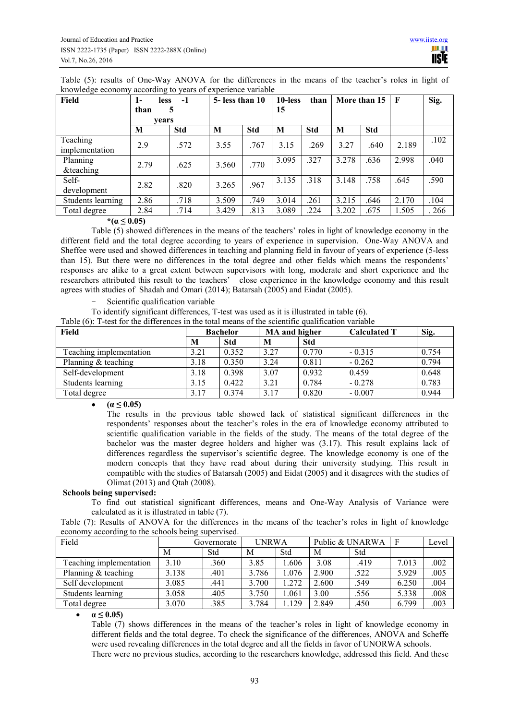Table (5): results of One-Way ANOVA for the differences in the means of the teacher's roles in light of knowledge economy according to years of experience variable

| Field                      | $1-$<br><b>less</b> | $-1$       | $5 -$ less than 10 |            | 10-less | than       |       | More than 15 | $\mathbf{F}$ | Sig. |
|----------------------------|---------------------|------------|--------------------|------------|---------|------------|-------|--------------|--------------|------|
|                            | than<br>vears       | 5          |                    |            | 15      |            |       |              |              |      |
|                            | M                   | <b>Std</b> | M                  | <b>Std</b> | M       | <b>Std</b> | M     | <b>Std</b>   |              |      |
| Teaching<br>implementation | 2.9                 | .572       | 3.55               | .767       | 3.15    | .269       | 3.27  | .640         | 2.189        | .102 |
| Planning<br>&teaching      | 2.79                | .625       | 3.560              | .770       | 3.095   | 327        | 3.278 | .636         | 2.998        | .040 |
| Self-<br>development       | 2.82                | .820       | 3.265              | .967       | 3.135   | .318       | 3.148 | .758         | .645         | .590 |
| Students learning          | 2.86                | .718       | 3.509              | .749       | 3.014   | .261       | 3.215 | .646         | 2.170        | .104 |
| Total degree               | 2.84                | .714       | 3.429              | .813       | 3.089   | .224       | 3.202 | .675         | 1.505        | .266 |

# $*(\alpha \leq 0.05)$

Table (5) showed differences in the means of the teachers' roles in light of knowledge economy in the different field and the total degree according to years of experience in supervision. One-Way ANOVA and Sheffee were used and showed differences in teaching and planning field in favour of years of experience (5-less than 15). But there were no differences in the total degree and other fields which means the respondents' responses are alike to a great extent between supervisors with long, moderate and short experience and the researchers attributed this result to the teachers' close experience in the knowledge economy and this result agrees with studies of Shadah and Omari (2014); Batarsah (2005) and Eiadat (2005).

Scientific qualification variable

To identify significant differences, T-test was used as it is illustrated in table (6).

Table (6): T-test for the differences in the total means of the scientific qualification variable

| <b>Field</b>            |      | <b>Bachelor</b> | MA and higher |            | <b>Calculated T</b> | Sig.  |
|-------------------------|------|-----------------|---------------|------------|---------------------|-------|
|                         | M    | <b>Std</b>      | M             | <b>Std</b> |                     |       |
| Teaching implementation | 3.21 | 0.352           | 3.27          | 0.770      | $-0.315$            | 0.754 |
| Planning & teaching     | 3.18 | 0.350           | 3.24          | 0.811      | $-0.262$            | 0.794 |
| Self-development        | 3.18 | 0.398           | 3.07          | 0.932      | 0.459               | 0.648 |
| Students learning       | 3.15 | 0.422           | 3.21          | 0.784      | $-0.278$            | 0.783 |
| Total degree            | 3.17 | 0.374           | 3.17          | 0.820      | $-0.007$            | 0.944 |

•  $(a \le 0.05)$ 

The results in the previous table showed lack of statistical significant differences in the respondents' responses about the teacher's roles in the era of knowledge economy attributed to scientific qualification variable in the fields of the study. The means of the total degree of the bachelor was the master degree holders and higher was (3.17). This result explains lack of differences regardless the supervisor's scientific degree. The knowledge economy is one of the modern concepts that they have read about during their university studying. This result in compatible with the studies of Batarsah (2005) and Eidat (2005) and it disagrees with the studies of Olimat (2013) and Qtah (2008).

# **Schools being supervised:**

To find out statistical significant differences, means and One-Way Analysis of Variance were calculated as it is illustrated in table (7).

Table (7): Results of ANOVA for the differences in the means of the teacher's roles in light of knowledge economy according to the schools being supervised.

| Field                   | Governorate |      | UNRWA |       | Public & UNARWA |      |       | Level |
|-------------------------|-------------|------|-------|-------|-----------------|------|-------|-------|
|                         | M           | Std  | М     | Std   | M               | Std  |       |       |
| Teaching implementation | 3.10        | .360 | 3.85  | .606  | 3.08            | .419 | 7.013 | .002  |
| Planning $&$ teaching   | 3.138       | .401 | 3.786 | 1.076 | 2.900           | .522 | 5.929 | .005  |
| Self development        | 3.085       | .441 | 3.700 | 1.272 | 2.600           | .549 | 6.250 | .004  |
| Students learning       | 3.058       | .405 | 3.750 | 1.061 | 3.00            | .556 | 5.338 | .008  |
| Total degree            | 3.070       | 385  | 3.784 | 1.129 | 2.849           | .450 | 6.799 | .003  |

 $\alpha \leq 0.05$ 

Table (7) shows differences in the means of the teacher's roles in light of knowledge economy in different fields and the total degree. To check the significance of the differences, ANOVA and Scheffe were used revealing differences in the total degree and all the fields in favor of UNORWA schools. There were no previous studies, according to the researchers knowledge, addressed this field. And these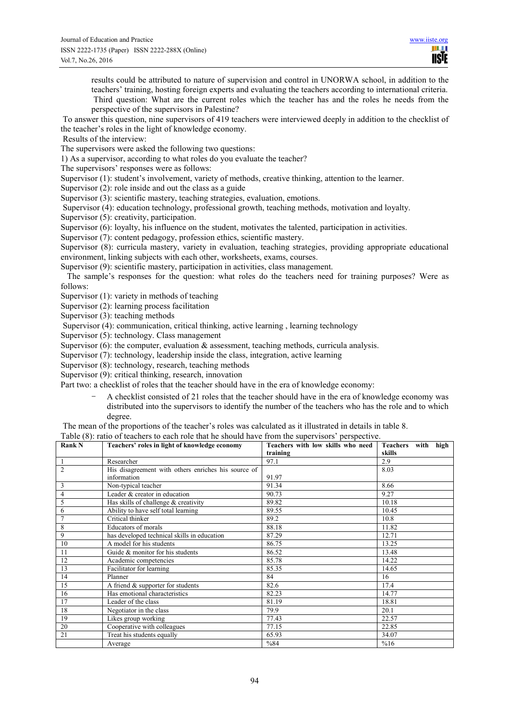**TISIE** 

results could be attributed to nature of supervision and control in UNORWA school, in addition to the teachers' training, hosting foreign experts and evaluating the teachers according to international criteria. Third question: What are the current roles which the teacher has and the roles he needs from the perspective of the supervisors in Palestine?

 To answer this question, nine supervisors of 419 teachers were interviewed deeply in addition to the checklist of the teacher's roles in the light of knowledge economy.

Results of the interview:

The supervisors were asked the following two questions:

1) As a supervisor, according to what roles do you evaluate the teacher?

The supervisors' responses were as follows:

Supervisor (1): student's involvement, variety of methods, creative thinking, attention to the learner.

Supervisor (2): role inside and out the class as a guide

Supervisor (3): scientific mastery, teaching strategies, evaluation, emotions.

Supervisor (4): education technology, professional growth, teaching methods, motivation and loyalty.

Supervisor (5): creativity, participation.

Supervisor (6): loyalty, his influence on the student, motivates the talented, participation in activities.

Supervisor (7): content pedagogy, profession ethics, scientific mastery.

Supervisor (8): curricula mastery, variety in evaluation, teaching strategies, providing appropriate educational environment, linking subjects with each other, worksheets, exams, courses.

Supervisor (9): scientific mastery, participation in activities, class management.

 The sample's responses for the question: what roles do the teachers need for training purposes? Were as follows:

Supervisor (1): variety in methods of teaching

Supervisor  $(2)$ : learning process facilitation

Supervisor (3): teaching methods

Supervisor (4): communication, critical thinking, active learning , learning technology

Supervisor (5): technology. Class management

Supervisor  $(6)$ : the computer, evaluation  $\&$  assessment, teaching methods, curricula analysis.

Supervisor (7): technology, leadership inside the class, integration, active learning

Supervisor (8): technology, research, teaching methods

Supervisor (9): critical thinking, research, innovation

Part two: a checklist of roles that the teacher should have in the era of knowledge economy:

- A checklist consisted of 21 roles that the teacher should have in the era of knowledge economy was distributed into the supervisors to identify the number of the teachers who has the role and to which degree.

The mean of the proportions of the teacher's roles was calculated as it illustrated in details in table 8.

# Table (8): ratio of teachers to each role that he should have from the supervisors' perspective.

| <b>Rank N</b>  | Teachers' roles in light of knowledge economy       | Teachers with low skills who need | Teachers<br>high<br>with |
|----------------|-----------------------------------------------------|-----------------------------------|--------------------------|
|                |                                                     | training                          | skills                   |
| -1             | Researcher                                          | 97.1                              | 2.9                      |
| $\overline{2}$ | His disagreement with others enriches his source of |                                   | 8.03                     |
|                | information                                         | 91.97                             |                          |
| 3              | Non-typical teacher                                 | 91.34                             | 8.66                     |
| $\overline{4}$ | Leader & creator in education                       | 90.73                             | 9.27                     |
| 5              | Has skills of challenge & creativity                | 89.82                             | 10.18                    |
| 6              | Ability to have self total learning                 | 89.55                             | 10.45                    |
| $\overline{7}$ | Critical thinker                                    | 89.2                              | 10.8                     |
| 8              | Educators of morals                                 | 88.18                             | 11.82                    |
| 9              | has developed technical skills in education         | 87.29                             | 12.71                    |
| 10             | A model for his students                            | 86.75                             | 13.25                    |
| 11             | Guide & monitor for his students                    | 86.52                             | 13.48                    |
| 12             | Academic competencies                               | 85.78                             | 14.22                    |
| 13             | Facilitator for learning                            | 85.35                             | 14.65                    |
| 14             | Planner                                             | 84                                | 16                       |
| 15             | A friend & supporter for students                   | 82.6                              | 17.4                     |
| 16             | Has emotional characteristics                       | 82.23                             | 14.77                    |
| 17             | Leader of the class                                 | 81.19                             | 18.81                    |
| 18             | Negotiator in the class                             | 79.9                              | 20.1                     |
| 19             | Likes group working                                 | 77.43                             | 22.57                    |
| 20             | Cooperative with colleagues                         | 77.15                             | 22.85                    |
| 21             | Treat his students equally                          | 65.93                             | 34.07                    |
|                | Average                                             | %84                               | %16                      |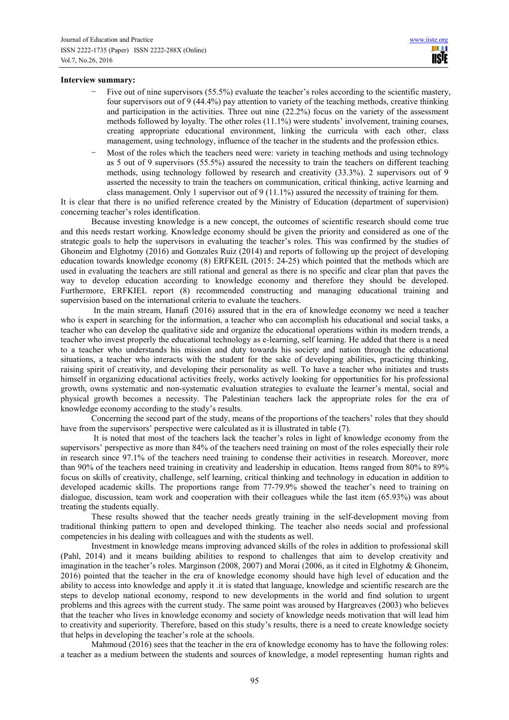#### **Interview summary:**

- Five out of nine supervisors (55.5%) evaluate the teacher's roles according to the scientific mastery, four supervisors out of 9 (44.4%) pay attention to variety of the teaching methods, creative thinking and participation in the activities. Three out nine (22.2%) focus on the variety of the assessment methods followed by loyalty. The other roles (11.1%) were students' involvement, training courses, creating appropriate educational environment, linking the curricula with each other, class management, using technology, influence of the teacher in the students and the profession ethics.
- Most of the roles which the teachers need were: variety in teaching methods and using technology as 5 out of 9 supervisors (55.5%) assured the necessity to train the teachers on different teaching methods, using technology followed by research and creativity (33.3%). 2 supervisors out of 9 asserted the necessity to train the teachers on communication, critical thinking, active learning and class management. Only 1 supervisor out of 9  $(11.1\%)$  assured the necessity of training for them.

It is clear that there is no unified reference created by the Ministry of Education (department of supervision) concerning teacher's roles identification.

Because investing knowledge is a new concept, the outcomes of scientific research should come true and this needs restart working. Knowledge economy should be given the priority and considered as one of the strategic goals to help the supervisors in evaluating the teacher's roles. This was confirmed by the studies of Ghoneim and Elghotmy (2016) and Gonzales Ruiz (2014) and reports of following up the project of developing education towards knowledge economy (8) ERFKEIL (2015: 24-25) which pointed that the methods which are used in evaluating the teachers are still rational and general as there is no specific and clear plan that paves the way to develop education according to knowledge economy and therefore they should be developed. Furthermore, ERFKIEL report (8) recommended constructing and managing educational training and supervision based on the international criteria to evaluate the teachers.

 In the main stream, Hanafi (2016) assured that in the era of knowledge economy we need a teacher who is expert in searching for the information, a teacher who can accomplish his educational and social tasks, a teacher who can develop the qualitative side and organize the educational operations within its modern trends, a teacher who invest properly the educational technology as e-learning, self learning. He added that there is a need to a teacher who understands his mission and duty towards his society and nation through the educational situations, a teacher who interacts with the student for the sake of developing abilities, practicing thinking, raising spirit of creativity, and developing their personality as well. To have a teacher who initiates and trusts himself in organizing educational activities freely, works actively looking for opportunities for his professional growth, owns systematic and non-systematic evaluation strategies to evaluate the learner's mental, social and physical growth becomes a necessity. The Palestinian teachers lack the appropriate roles for the era of knowledge economy according to the study's results.

Concerning the second part of the study, means of the proportions of the teachers' roles that they should have from the supervisors' perspective were calculated as it is illustrated in table (7).

 It is noted that most of the teachers lack the teacher's roles in light of knowledge economy from the supervisors' perspective as more than 84% of the teachers need training on most of the roles especially their role in research since 97.1% of the teachers need training to condense their activities in research. Moreover, more than 90% of the teachers need training in creativity and leadership in education. Items ranged from 80% to 89% focus on skills of creativity, challenge, self learning, critical thinking and technology in education in addition to developed academic skills. The proportions range from 77-79.9% showed the teacher's need to training on dialogue, discussion, team work and cooperation with their colleagues while the last item (65.93%) was about treating the students equally.

These results showed that the teacher needs greatly training in the self-development moving from traditional thinking pattern to open and developed thinking. The teacher also needs social and professional competencies in his dealing with colleagues and with the students as well.

Investment in knowledge means improving advanced skills of the roles in addition to professional skill (Pahl, 2014) and it means building abilities to respond to challenges that aim to develop creativity and imagination in the teacher's roles. Marginson (2008, 2007) and Morai (2006, as it cited in Elghotmy & Ghoneim, 2016) pointed that the teacher in the era of knowledge economy should have high level of education and the ability to access into knowledge and apply it .it is stated that language, knowledge and scientific research are the steps to develop national economy, respond to new developments in the world and find solution to urgent problems and this agrees with the current study. The same point was aroused by Hargreaves (2003) who believes that the teacher who lives in knowledge economy and society of knowledge needs motivation that will lead him to creativity and superiority. Therefore, based on this study's results, there is a need to create knowledge society that helps in developing the teacher's role at the schools.

Mahmoud (2016) sees that the teacher in the era of knowledge economy has to have the following roles: a teacher as a medium between the students and sources of knowledge, a model representing human rights and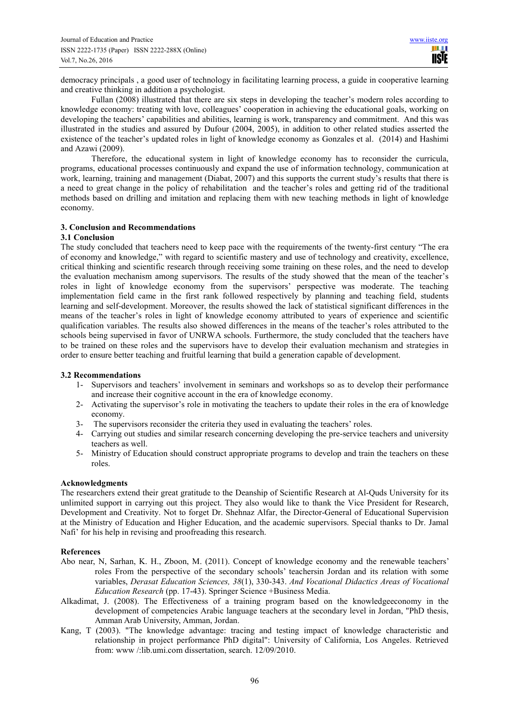democracy principals , a good user of technology in facilitating learning process, a guide in cooperative learning and creative thinking in addition a psychologist.

Fullan (2008) illustrated that there are six steps in developing the teacher's modern roles according to knowledge economy: treating with love, colleagues' cooperation in achieving the educational goals, working on developing the teachers' capabilities and abilities, learning is work, transparency and commitment. And this was illustrated in the studies and assured by Dufour (2004, 2005), in addition to other related studies asserted the existence of the teacher's updated roles in light of knowledge economy as Gonzales et al. (2014) and Hashimi and Azawi (2009).

Therefore, the educational system in light of knowledge economy has to reconsider the curricula, programs, educational processes continuously and expand the use of information technology, communication at work, learning, training and management (Diabat, 2007) and this supports the current study's results that there is a need to great change in the policy of rehabilitation and the teacher's roles and getting rid of the traditional methods based on drilling and imitation and replacing them with new teaching methods in light of knowledge economy.

# **3. Conclusion and Recommendations**

# **3.1 Conclusion**

The study concluded that teachers need to keep pace with the requirements of the twenty-first century "The era of economy and knowledge," with regard to scientific mastery and use of technology and creativity, excellence, critical thinking and scientific research through receiving some training on these roles, and the need to develop the evaluation mechanism among supervisors. The results of the study showed that the mean of the teacher's roles in light of knowledge economy from the supervisors' perspective was moderate. The teaching implementation field came in the first rank followed respectively by planning and teaching field, students learning and self-development. Moreover, the results showed the lack of statistical significant differences in the means of the teacher's roles in light of knowledge economy attributed to years of experience and scientific qualification variables. The results also showed differences in the means of the teacher's roles attributed to the schools being supervised in favor of UNRWA schools. Furthermore, the study concluded that the teachers have to be trained on these roles and the supervisors have to develop their evaluation mechanism and strategies in order to ensure better teaching and fruitful learning that build a generation capable of development.

#### **3.2 Recommendations**

- 1- Supervisors and teachers' involvement in seminars and workshops so as to develop their performance and increase their cognitive account in the era of knowledge economy.
- 2- Activating the supervisor's role in motivating the teachers to update their roles in the era of knowledge economy.
- 3- The supervisors reconsider the criteria they used in evaluating the teachers' roles.
- 4- Carrying out studies and similar research concerning developing the pre-service teachers and university teachers as well.
- 5- Ministry of Education should construct appropriate programs to develop and train the teachers on these roles.

## **Acknowledgments**

The researchers extend their great gratitude to the Deanship of Scientific Research at Al-Quds University for its unlimited support in carrying out this project. They also would like to thank the Vice President for Research, Development and Creativity. Not to forget Dr. Shehnaz Alfar, the Director-General of Educational Supervision at the Ministry of Education and Higher Education, and the academic supervisors. Special thanks to Dr. Jamal Nafi' for his help in revising and proofreading this research.

#### **References**

- Abo near, N, Sarhan, K. H., Zboon, M. (2011). Concept of knowledge economy and the renewable teachers' roles From the perspective of the secondary schools' teachersin Jordan and its relation with some variables, *Derasat Education Sciences, 38*(1), 330-343. *And Vocational Didactics Areas of Vocational Education Research* (pp. 17-43). Springer Science +Business Media.
- Alkadimat, J. (2008). The Effectiveness of a training program based on the knowledgeeconomy in the development of competencies Arabic language teachers at the secondary level in Jordan, "PhD thesis, Amman Arab University, Amman, Jordan.
- Kang, T (2003). "The knowledge advantage: tracing and testing impact of knowledge characteristic and relationship in project performance PhD digital": University of California, Los Angeles. Retrieved from: www /:lib.umi.com dissertation, search. 12/09/2010.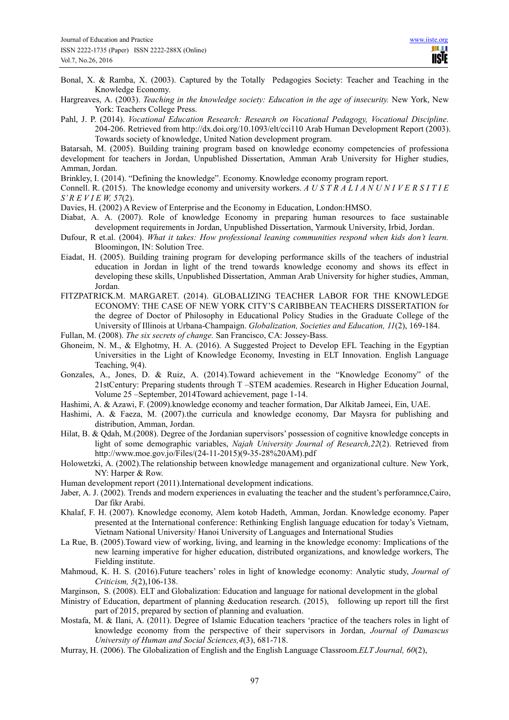- Bonal, X. & Ramba, X. (2003). Captured by the Totally Pedagogies Society: Teacher and Teaching in the Knowledge Economy.
- Hargreaves, A. (2003). *Teaching in the knowledge society: Education in the age of insecurity.* New York, New York: Teachers College Press.
- Pahl, J. P. (2014). *Vocational Education Research: Research on Vocational Pedagogy, Vocational Discipline*. 204-206. Retrieved from http://dx.doi.org/10.1093/elt/cci110 Arab Human Development Report (2003). Towards society of knowledge, United Nation development program.
- Batarsah, M. (2005). Building training program based on knowledge economy competencies of professiona development for teachers in Jordan, Unpublished Dissertation, Amman Arab University for Higher studies, Amman, Jordan.
- Brinkley, I. (2014). "Defining the knowledge". Economy. Knowledge economy program report.
- Connell. R. (2015). The knowledge economy and university workers. *A U S T R A L I A N U N I V E R S I T I E S' R E V I E W, 57*(2).
- Davies, H. (2002) A Review of Enterprise and the Economy in Education, London:HMSO.
- Diabat, A. A. (2007). Role of knowledge Economy in preparing human resources to face sustainable development requirements in Jordan, Unpublished Dissertation, Yarmouk University, Irbid, Jordan.
- Dufour, R et.al. (2004). *What it takes: How professional leaning communities respond when kids don't learn.*  Bloomingon, IN: Solution Tree.
- Eiadat, H. (2005). Building training program for developing performance skills of the teachers of industrial education in Jordan in light of the trend towards knowledge economy and shows its effect in developing these skills, Unpublished Dissertation, Amman Arab University for higher studies, Amman, Jordan.
- FITZPATRICK.M. MARGARET. (2014). GLOBALIZING TEACHER LABOR FOR THE KNOWLEDGE ECONOMY: THE CASE OF NEW YORK CITY'S CARIBBEAN TEACHERS DISSERTATION for the degree of Doctor of Philosophy in Educational Policy Studies in the Graduate College of the University of Illinois at Urbana-Champaign. *Globalization, Societies and Education, 11*(2), 169-184.
- Fullan, M. (2008). *The six secrets of change.* San Francisco, CA: Jossey-Bass.
- Ghoneim, N. M., & Elghotmy, H. A. (2016). A Suggested Project to Develop EFL Teaching in the Egyptian Universities in the Light of Knowledge Economy, Investing in ELT Innovation. English Language Teaching, 9(4).
- Gonzales, A., Jones, D. & Ruiz, A. (2014).Toward achievement in the "Knowledge Economy" of the 21stCentury: Preparing students through T –STEM academies. Research in Higher Education Journal, Volume 25 –September, 2014Toward achievement, page 1-14.
- Hashimi, A. & Azawi, F. (2009).knowledge economy and teacher formation, Dar Alkitab Jameei, Ein, UAE.
- Hashimi, A. & Faeza, M. (2007).the curricula and knowledge economy, Dar Maysra for publishing and distribution, Amman, Jordan.
- Hilat, B. & Qdah, M.(2008). Degree of the Jordanian supervisors' possession of cognitive knowledge concepts in light of some demographic variables, *Najah University Journal of Research,22*(2). Retrieved from http://www.moe.gov.jo/Files/(24-11-2015)(9-35-28%20AM).pdf
- Holowetzki, A. (2002).The relationship between knowledge management and organizational culture. New York, NY: Harper & Row.
- Human development report (2011).International development indications.
- Jaber, A. J. (2002). Trends and modern experiences in evaluating the teacher and the student's perforamnce,Cairo, Dar fikr Arabi.
- Khalaf, F. H. (2007). Knowledge economy, Alem kotob Hadeth, Amman, Jordan. Knowledge economy. Paper presented at the International conference: Rethinking English language education for today's Vietnam, Vietnam National University/ Hanoi University of Languages and International Studies
- La Rue, B. (2005).Toward view of working, living, and learning in the knowledge economy: Implications of the new learning imperative for higher education, distributed organizations, and knowledge workers, The Fielding institute.
- Mahmoud, K. H. S. (2016).Future teachers' roles in light of knowledge economy: Analytic study, *Journal of Criticism, 5*(2),106-138.
- Marginson, S. (2008). ELT and Globalization: Education and language for national development in the global
- Ministry of Education, department of planning &education research. (2015), following up report till the first part of 2015, prepared by section of planning and evaluation.
- Mostafa, M. & Ilani, A. (2011). Degree of Islamic Education teachers 'practice of the teachers roles in light of knowledge economy from the perspective of their supervisors in Jordan, *Journal of Damascus University of Human and Social Sciences,4*(3), 681-718.
- Murray, H. (2006). The Globalization of English and the English Language Classroom.*ELT Journal, 60*(2),